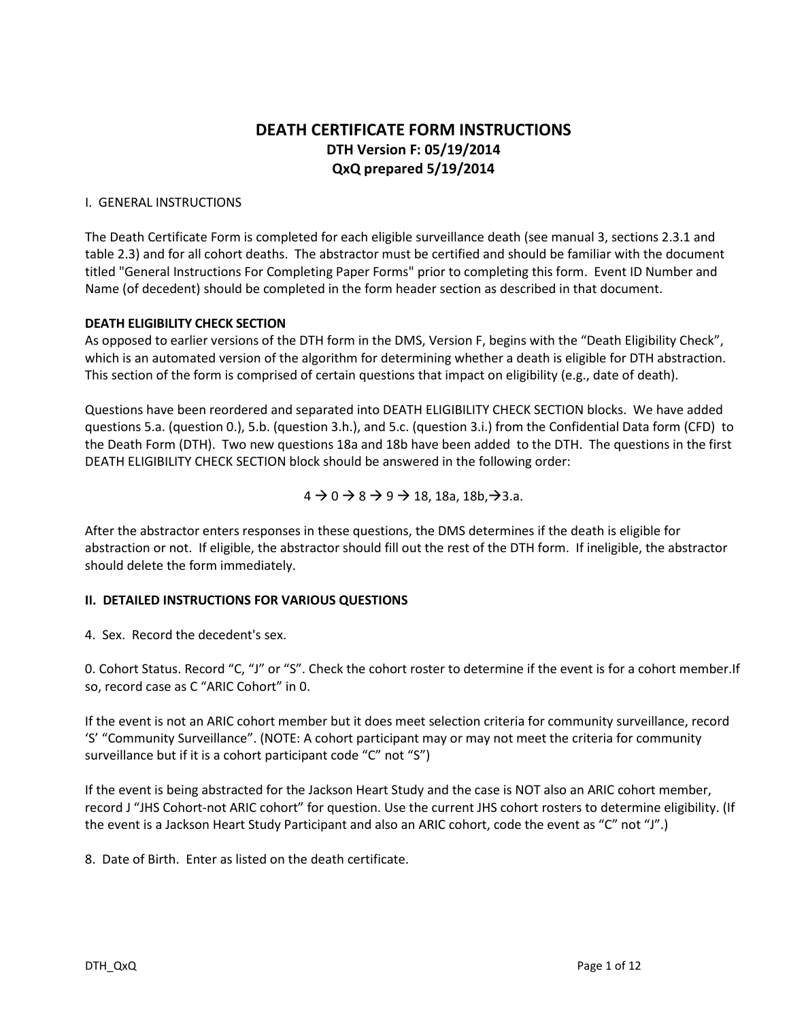## **DEATH CERTIFICATE FORM INSTRUCTIONS DTH Version F: 05/19/2014 QxQ prepared 5/19/2014**

#### I. GENERAL INSTRUCTIONS

The Death Certificate Form is completed for each eligible surveillance death (see manual 3, sections 2.3.1 and table 2.3) and for all cohort deaths. The abstractor must be certified and should be familiar with the document titled "General Instructions For Completing Paper Forms" prior to completing this form. Event ID Number and Name (of decedent) should be completed in the form header section as described in that document.

#### **DEATH ELIGIBILITY CHECK SECTION**

As opposed to earlier versions of the DTH form in the DMS, Version F, begins with the "Death Eligibility Check", which is an automated version of the algorithm for determining whether a death is eligible for DTH abstraction. This section of the form is comprised of certain questions that impact on eligibility (e.g., date of death).

Questions have been reordered and separated into DEATH ELIGIBILITY CHECK SECTION blocks. We have added questions 5.a. (question 0.), 5.b. (question 3.h.), and 5.c. (question 3.i.) from the Confidential Data form (CFD) to the Death Form (DTH). Two new questions 18a and 18b have been added to the DTH. The questions in the first DEATH ELIGIBILITY CHECK SECTION block should be answered in the following order:

 $4 \rightarrow 0 \rightarrow 8 \rightarrow 9 \rightarrow 18$ , 18a, 18b,  $\rightarrow$ 3.a.

After the abstractor enters responses in these questions, the DMS determines if the death is eligible for abstraction or not. If eligible, the abstractor should fill out the rest of the DTH form. If ineligible, the abstractor should delete the form immediately.

#### **II. DETAILED INSTRUCTIONS FOR VARIOUS QUESTIONS**

4. Sex. Record the decedent's sex.

0. Cohort Status. Record "C, "J" or "S". Check the cohort roster to determine if the event is for a cohort member.If so, record case as C "ARIC Cohort" in 0.

If the event is not an ARIC cohort member but it does meet selection criteria for community surveillance, record 'S' "Community Surveillance". (NOTE: A cohort participant may or may not meet the criteria for community surveillance but if it is a cohort participant code "C" not "S")

If the event is being abstracted for the Jackson Heart Study and the case is NOT also an ARIC cohort member, record J "JHS Cohort-not ARIC cohort" for question. Use the current JHS cohort rosters to determine eligibility. (If the event is a Jackson Heart Study Participant and also an ARIC cohort, code the event as "C" not "J".)

8. Date of Birth. Enter as listed on the death certificate.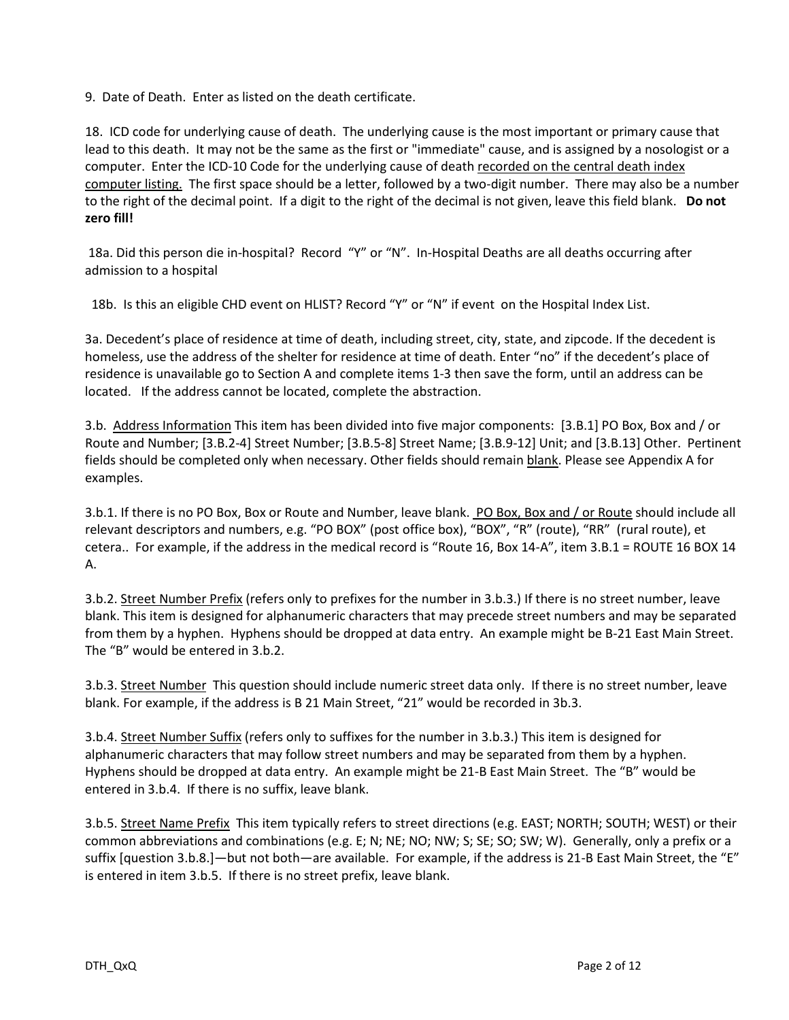9. Date of Death. Enter as listed on the death certificate.

18. ICD code for underlying cause of death. The underlying cause is the most important or primary cause that lead to this death. It may not be the same as the first or "immediate" cause, and is assigned by a nosologist or a computer. Enter the ICD-10 Code for the underlying cause of death recorded on the central death index computer listing. The first space should be a letter, followed by a two-digit number. There may also be a number to the right of the decimal point. If a digit to the right of the decimal is not given, leave this field blank. **Do not zero fill!**

18a. Did this person die in-hospital? Record "Y" or "N". In-Hospital Deaths are all deaths occurring after admission to a hospital

18b. Is this an eligible CHD event on HLIST? Record "Y" or "N" if event on the Hospital Index List.

3a. Decedent's place of residence at time of death, including street, city, state, and zipcode. If the decedent is homeless, use the address of the shelter for residence at time of death. Enter "no" if the decedent's place of residence is unavailable go to Section A and complete items 1-3 then save the form, until an address can be located. If the address cannot be located, complete the abstraction.

3.b. Address Information This item has been divided into five major components: [3.B.1] PO Box, Box and / or Route and Number; [3.B.2-4] Street Number; [3.B.5-8] Street Name; [3.B.9-12] Unit; and [3.B.13] Other. Pertinent fields should be completed only when necessary. Other fields should remain blank. Please see Appendix A for examples.

3.b.1. If there is no PO Box, Box or Route and Number, leave blank. PO Box, Box and / or Route should include all relevant descriptors and numbers, e.g. "PO BOX" (post office box), "BOX", "R" (route), "RR" (rural route), et cetera.. For example, if the address in the medical record is "Route 16, Box 14-A", item 3.B.1 = ROUTE 16 BOX 14 A.

3.b.2. Street Number Prefix (refers only to prefixes for the number in 3.b.3.) If there is no street number, leave blank. This item is designed for alphanumeric characters that may precede street numbers and may be separated from them by a hyphen. Hyphens should be dropped at data entry. An example might be B-21 East Main Street. The "B" would be entered in 3.b.2.

3.b.3. Street Number This question should include numeric street data only. If there is no street number, leave blank. For example, if the address is B 21 Main Street, "21" would be recorded in 3b.3.

3.b.4. Street Number Suffix (refers only to suffixes for the number in 3.b.3.) This item is designed for alphanumeric characters that may follow street numbers and may be separated from them by a hyphen. Hyphens should be dropped at data entry. An example might be 21-B East Main Street. The "B" would be entered in 3.b.4. If there is no suffix, leave blank.

3.b.5. Street Name Prefix This item typically refers to street directions (e.g. EAST; NORTH; SOUTH; WEST) or their common abbreviations and combinations (e.g. E; N; NE; NO; NW; S; SE; SO; SW; W). Generally, only a prefix or a suffix [question 3.b.8.]—but not both—are available. For example, if the address is 21-B East Main Street, the "E" is entered in item 3.b.5. If there is no street prefix, leave blank.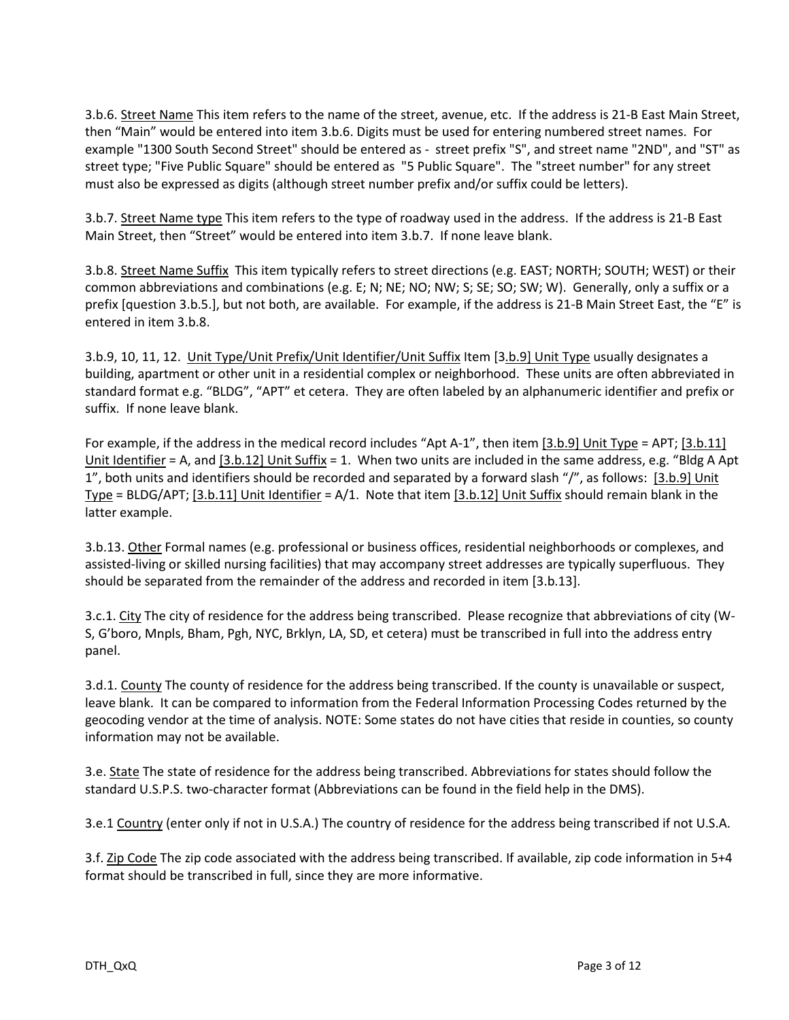3.b.6. Street Name This item refers to the name of the street, avenue, etc. If the address is 21-B East Main Street, then "Main" would be entered into item 3.b.6. Digits must be used for entering numbered street names. For example "1300 South Second Street" should be entered as - street prefix "S", and street name "2ND", and "ST" as street type; "Five Public Square" should be entered as "5 Public Square". The "street number" for any street must also be expressed as digits (although street number prefix and/or suffix could be letters).

3.b.7. Street Name type This item refers to the type of roadway used in the address. If the address is 21-B East Main Street, then "Street" would be entered into item 3.b.7. If none leave blank.

3.b.8. Street Name Suffix This item typically refers to street directions (e.g. EAST; NORTH; SOUTH; WEST) or their common abbreviations and combinations (e.g. E; N; NE; NO; NW; S; SE; SO; SW; W). Generally, only a suffix or a prefix [question 3.b.5.], but not both, are available. For example, if the address is 21-B Main Street East, the "E" is entered in item 3.b.8.

3.b.9, 10, 11, 12. Unit Type/Unit Prefix/Unit Identifier/Unit Suffix Item [3.b.9] Unit Type usually designates a building, apartment or other unit in a residential complex or neighborhood. These units are often abbreviated in standard format e.g. "BLDG", "APT" et cetera. They are often labeled by an alphanumeric identifier and prefix or suffix. If none leave blank.

For example, if the address in the medical record includes "Apt A-1", then item [3.b.9] Unit Type = APT; [3.b.11] Unit Identifier = A, and [3.b.12] Unit Suffix = 1. When two units are included in the same address, e.g. "Bldg A Apt 1", both units and identifiers should be recorded and separated by a forward slash "/", as follows: [3.b.9] Unit Type = BLDG/APT; [3.b.11] Unit Identifier =  $A/1$ . Note that item [3.b.12] Unit Suffix should remain blank in the latter example.

3.b.13. Other Formal names (e.g. professional or business offices, residential neighborhoods or complexes, and assisted-living or skilled nursing facilities) that may accompany street addresses are typically superfluous. They should be separated from the remainder of the address and recorded in item [3.b.13].

3.c.1. City The city of residence for the address being transcribed. Please recognize that abbreviations of city (W-S, G'boro, Mnpls, Bham, Pgh, NYC, Brklyn, LA, SD, et cetera) must be transcribed in full into the address entry panel.

3.d.1. County The county of residence for the address being transcribed. If the county is unavailable or suspect, leave blank. It can be compared to information from the Federal Information Processing Codes returned by the geocoding vendor at the time of analysis. NOTE: Some states do not have cities that reside in counties, so county information may not be available.

3.e. State The state of residence for the address being transcribed. Abbreviations for states should follow the standard U.S.P.S. two-character format (Abbreviations can be found in the field help in the DMS).

3.e.1 Country (enter only if not in U.S.A.) The country of residence for the address being transcribed if not U.S.A.

3.f. Zip Code The zip code associated with the address being transcribed. If available, zip code information in 5+4 format should be transcribed in full, since they are more informative.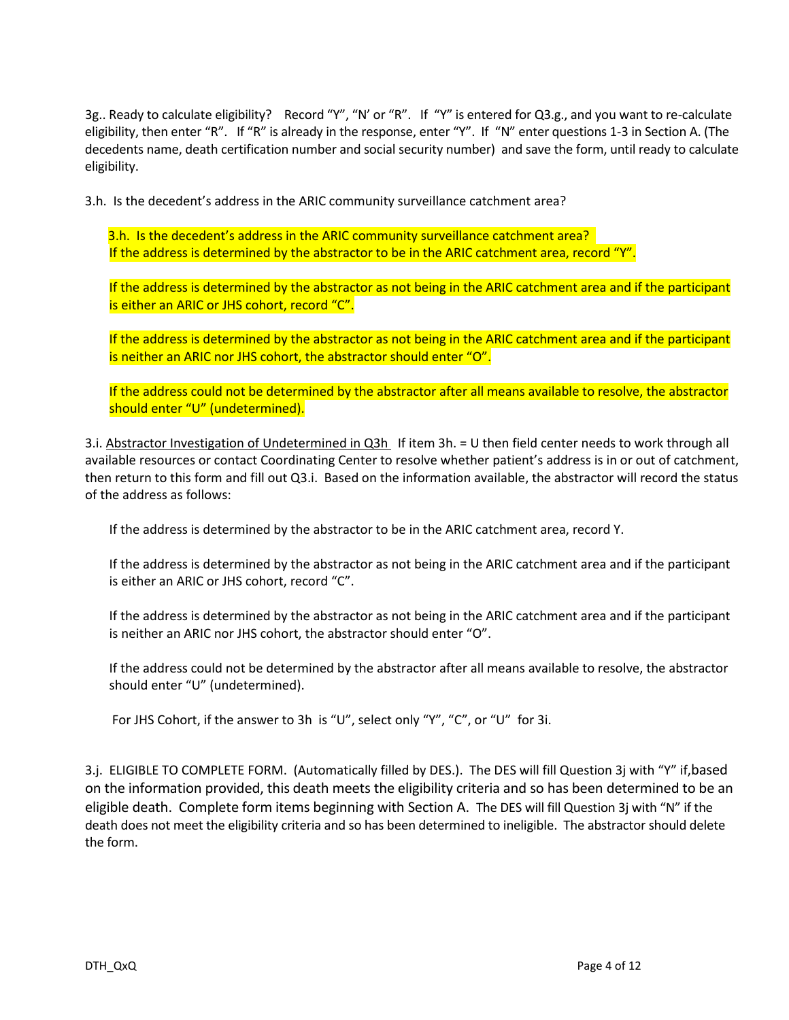3g.. Ready to calculate eligibility? Record "Y", "N' or "R". If "Y" is entered for Q3.g., and you want to re-calculate eligibility, then enter "R". If "R" is already in the response, enter "Y". If "N" enter questions 1-3 in Section A. (The decedents name, death certification number and social security number) and save the form, until ready to calculate eligibility.

3.h. Is the decedent's address in the ARIC community surveillance catchment area?

3.h. Is the decedent's address in the ARIC community surveillance catchment area? If the address is determined by the abstractor to be in the ARIC catchment area, record "Y".

If the address is determined by the abstractor as not being in the ARIC catchment area and if the participant is either an ARIC or JHS cohort, record "C".

If the address is determined by the abstractor as not being in the ARIC catchment area and if the participant is neither an ARIC nor JHS cohort, the abstractor should enter "O".

If the address could not be determined by the abstractor after all means available to resolve, the abstractor should enter "U" (undetermined).

3.i. Abstractor Investigation of Undetermined in Q3h If item 3h. = U then field center needs to work through all available resources or contact Coordinating Center to resolve whether patient's address is in or out of catchment, then return to this form and fill out Q3.i. Based on the information available, the abstractor will record the status of the address as follows:

If the address is determined by the abstractor to be in the ARIC catchment area, record Y.

If the address is determined by the abstractor as not being in the ARIC catchment area and if the participant is either an ARIC or JHS cohort, record "C".

If the address is determined by the abstractor as not being in the ARIC catchment area and if the participant is neither an ARIC nor JHS cohort, the abstractor should enter "O".

If the address could not be determined by the abstractor after all means available to resolve, the abstractor should enter "U" (undetermined).

For JHS Cohort, if the answer to 3h is "U", select only "Y", "C", or "U" for 3i.

3.j. ELIGIBLE TO COMPLETE FORM. (Automatically filled by DES.). The DES will fill Question 3j with "Y" if,based on the information provided, this death meets the eligibility criteria and so has been determined to be an eligible death. Complete form items beginning with Section A. The DES will fill Question 3j with "N" if the death does not meet the eligibility criteria and so has been determined to ineligible. The abstractor should delete the form.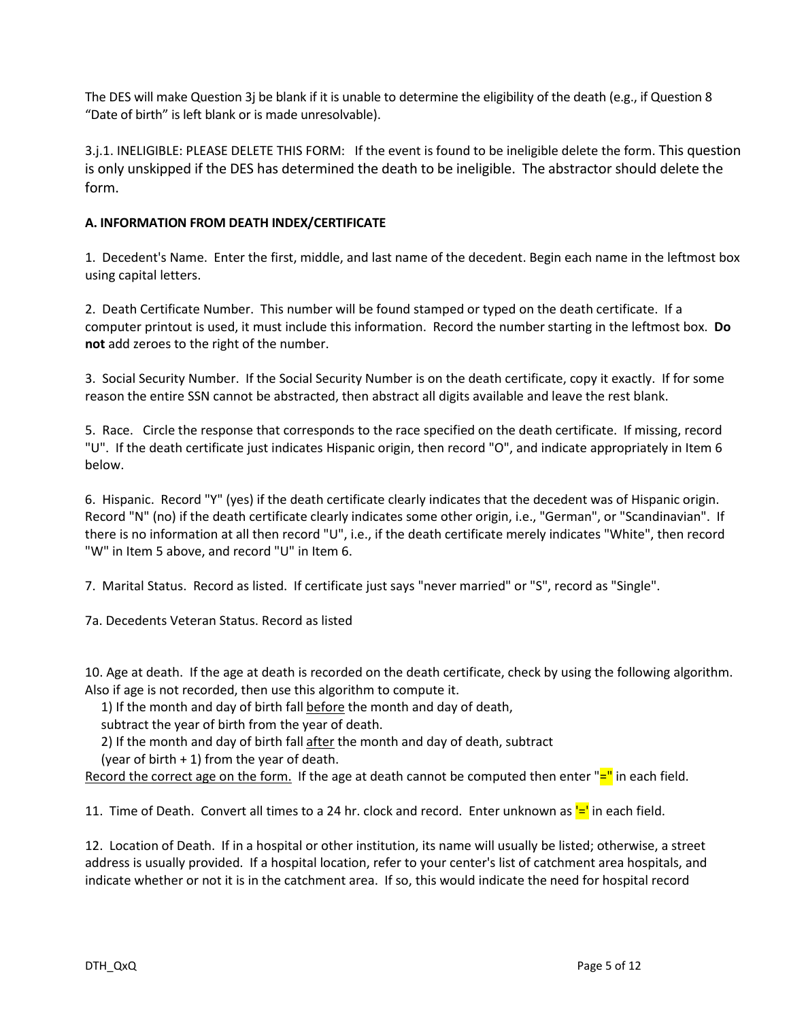The DES will make Question 3j be blank if it is unable to determine the eligibility of the death (e.g., if Question 8 "Date of birth" is left blank or is made unresolvable).

3.j.1. INELIGIBLE: PLEASE DELETE THIS FORM: If the event is found to be ineligible delete the form. This question is only unskipped if the DES has determined the death to be ineligible. The abstractor should delete the form.

#### **A. INFORMATION FROM DEATH INDEX/CERTIFICATE**

1. Decedent's Name. Enter the first, middle, and last name of the decedent. Begin each name in the leftmost box using capital letters.

2. Death Certificate Number. This number will be found stamped or typed on the death certificate. If a computer printout is used, it must include this information. Record the number starting in the leftmost box. **Do not** add zeroes to the right of the number.

3. Social Security Number. If the Social Security Number is on the death certificate, copy it exactly. If for some reason the entire SSN cannot be abstracted, then abstract all digits available and leave the rest blank.

5. Race. Circle the response that corresponds to the race specified on the death certificate. If missing, record "U". If the death certificate just indicates Hispanic origin, then record "O", and indicate appropriately in Item 6 below.

6. Hispanic. Record "Y" (yes) if the death certificate clearly indicates that the decedent was of Hispanic origin. Record "N" (no) if the death certificate clearly indicates some other origin, i.e., "German", or "Scandinavian". If there is no information at all then record "U", i.e., if the death certificate merely indicates "White", then record "W" in Item 5 above, and record "U" in Item 6.

7. Marital Status. Record as listed. If certificate just says "never married" or "S", record as "Single".

7a. Decedents Veteran Status. Record as listed

10. Age at death. If the age at death is recorded on the death certificate, check by using the following algorithm. Also if age is not recorded, then use this algorithm to compute it.

1) If the month and day of birth fall before the month and day of death,

subtract the year of birth from the year of death.

2) If the month and day of birth fall after the month and day of death, subtract

(year of birth  $+1$ ) from the year of death.

Record the correct age on the form. If the age at death cannot be computed then enter  $"=\text{I}$  in each field.

11. Time of Death. Convert all times to a 24 hr. clock and record. Enter unknown as  $=$  in each field.

12. Location of Death. If in a hospital or other institution, its name will usually be listed; otherwise, a street address is usually provided. If a hospital location, refer to your center's list of catchment area hospitals, and indicate whether or not it is in the catchment area. If so, this would indicate the need for hospital record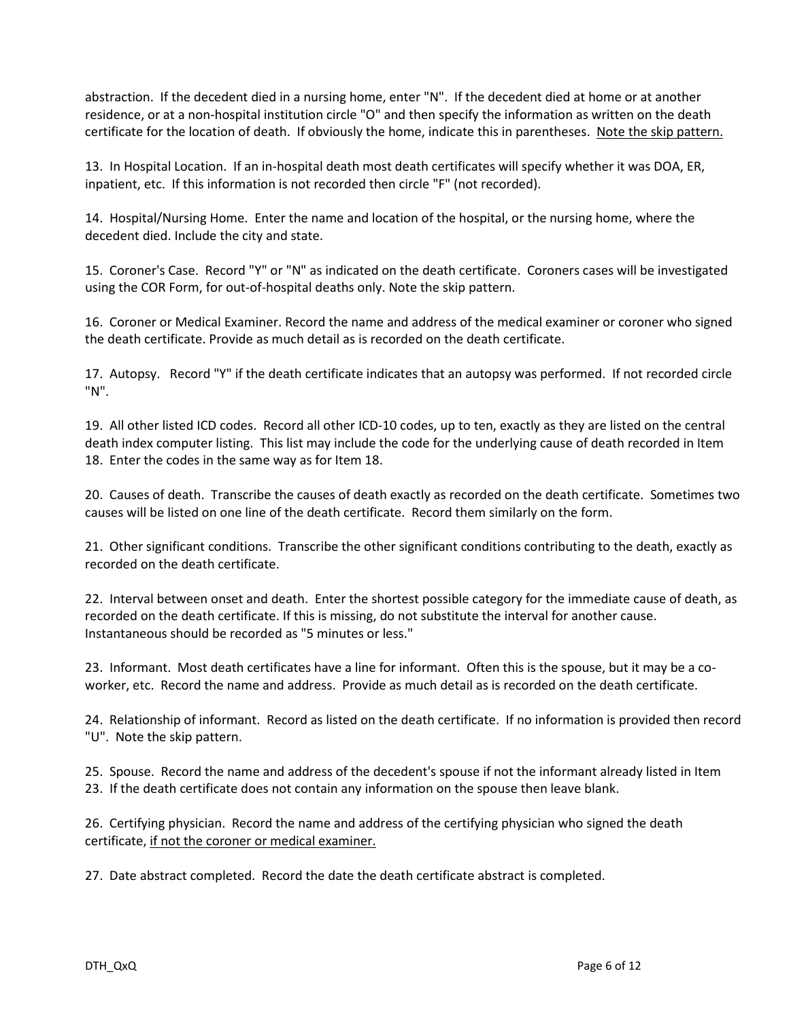abstraction. If the decedent died in a nursing home, enter "N". If the decedent died at home or at another residence, or at a non-hospital institution circle "O" and then specify the information as written on the death certificate for the location of death. If obviously the home, indicate this in parentheses. Note the skip pattern.

13. In Hospital Location. If an in-hospital death most death certificates will specify whether it was DOA, ER, inpatient, etc. If this information is not recorded then circle "F" (not recorded).

14. Hospital/Nursing Home. Enter the name and location of the hospital, or the nursing home, where the decedent died. Include the city and state.

15. Coroner's Case. Record "Y" or "N" as indicated on the death certificate. Coroners cases will be investigated using the COR Form, for out-of-hospital deaths only. Note the skip pattern.

16. Coroner or Medical Examiner. Record the name and address of the medical examiner or coroner who signed the death certificate. Provide as much detail as is recorded on the death certificate.

17. Autopsy. Record "Y" if the death certificate indicates that an autopsy was performed. If not recorded circle "N".

19. All other listed ICD codes. Record all other ICD-10 codes, up to ten, exactly as they are listed on the central death index computer listing. This list may include the code for the underlying cause of death recorded in Item 18. Enter the codes in the same way as for Item 18.

20. Causes of death. Transcribe the causes of death exactly as recorded on the death certificate. Sometimes two causes will be listed on one line of the death certificate. Record them similarly on the form.

21. Other significant conditions. Transcribe the other significant conditions contributing to the death, exactly as recorded on the death certificate.

22. Interval between onset and death. Enter the shortest possible category for the immediate cause of death, as recorded on the death certificate. If this is missing, do not substitute the interval for another cause. Instantaneous should be recorded as "5 minutes or less."

23. Informant. Most death certificates have a line for informant. Often this is the spouse, but it may be a coworker, etc. Record the name and address. Provide as much detail as is recorded on the death certificate.

24. Relationship of informant. Record as listed on the death certificate. If no information is provided then record "U". Note the skip pattern.

25. Spouse. Record the name and address of the decedent's spouse if not the informant already listed in Item 23. If the death certificate does not contain any information on the spouse then leave blank.

26. Certifying physician. Record the name and address of the certifying physician who signed the death certificate, if not the coroner or medical examiner.

27. Date abstract completed. Record the date the death certificate abstract is completed.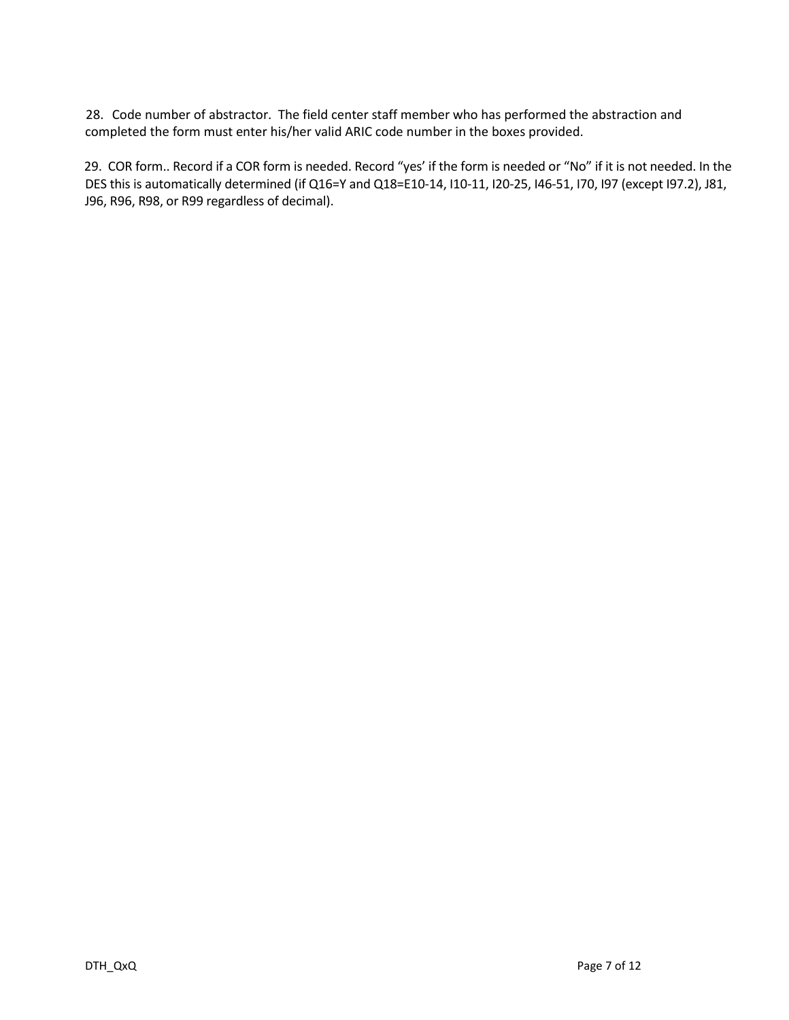28. Code number of abstractor. The field center staff member who has performed the abstraction and completed the form must enter his/her valid ARIC code number in the boxes provided.

29. COR form.. Record if a COR form is needed. Record "yes' if the form is needed or "No" if it is not needed. In the DES this is automatically determined (if Q16=Y and Q18=E10-14, I10-11, I20-25, I46-51, I70, I97 (except I97.2), J81, J96, R96, R98, or R99 regardless of decimal).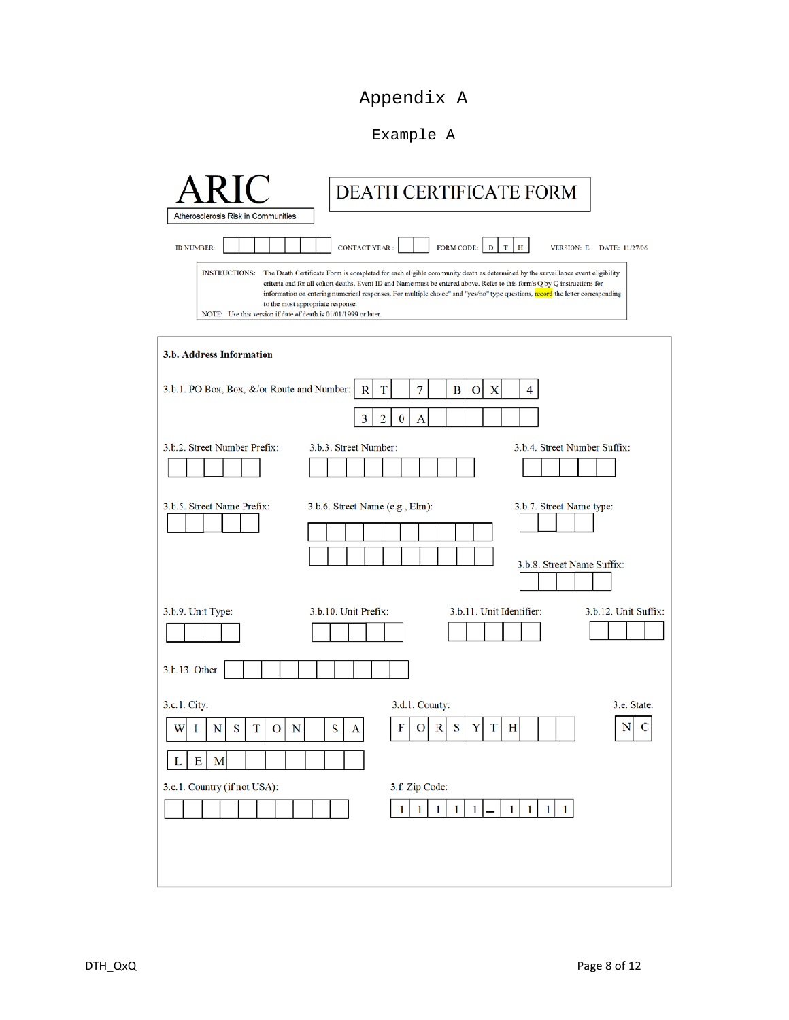# Appendix A

### Example A

| DEATH CERTIFICATE FORM<br>Atherosclerosis Risk in Communities                                                                                                                                                                                                                                                                                                                                                                                                                                                                                                                                                                                                             |
|---------------------------------------------------------------------------------------------------------------------------------------------------------------------------------------------------------------------------------------------------------------------------------------------------------------------------------------------------------------------------------------------------------------------------------------------------------------------------------------------------------------------------------------------------------------------------------------------------------------------------------------------------------------------------|
| <b>CONTACT YEAR:</b><br><b>FORM CODE:</b><br><b>ID NUMBER:</b><br>$\mathbb{D}$<br>$\mathbf T$<br>Н<br><b>VERSION: E</b><br>DATE: 11/27/06<br><b>INSTRUCTIONS:</b><br>The Death Certificate Form is completed for each eligible community death as determined by the surveillance event eligibility<br>criteria and for all cohort deaths. Event ID and Name must be entered above. Refer to this form's Q by Q instructions for<br>information on entering numerical responses. For multiple choice" and "yes/no" type questions, record the letter corresponding<br>to the most appropriate response.<br>NOTE: Use this version if date of death is 01/01/1999 or later. |
| 3.b. Address Information<br>3.b.1. PO Box, Box, &/or Route and Number:<br>7<br>X<br>R<br>в<br>4<br>T<br>О<br>3<br>$\overline{2}$<br>0<br>А                                                                                                                                                                                                                                                                                                                                                                                                                                                                                                                                |
| 3.b.2. Street Number Prefix:<br>3.b.4. Street Number Suffix:<br>3.b.3. Street Number:                                                                                                                                                                                                                                                                                                                                                                                                                                                                                                                                                                                     |
| 3.b.5. Street Name Prefix:<br>3.b.6. Street Name (e.g., Elm):<br>3.b.7. Street Name type:<br>3.b.8. Street Name Suffix:                                                                                                                                                                                                                                                                                                                                                                                                                                                                                                                                                   |
| 3.b.10. Unit Prefix:<br>3.b.11. Unit Identifier:<br>3.b.12. Unit Suffix:<br>3.b.9. Unit Type:                                                                                                                                                                                                                                                                                                                                                                                                                                                                                                                                                                             |
| 3.b.13. Other                                                                                                                                                                                                                                                                                                                                                                                                                                                                                                                                                                                                                                                             |
| 3.c.1. City:<br>3.d.1. County:<br>3.e. State:<br>F<br>S<br>Y<br>т<br>N<br>О<br>R<br>н<br>S<br>T<br>$\mathbf N$<br>S<br>I<br>N<br>W<br>О<br>А<br>L<br>E<br>M                                                                                                                                                                                                                                                                                                                                                                                                                                                                                                               |
| 3.e.1. Country (if not USA):<br>3.f. Zip Code:<br>$1 \mid 1 \mid$<br>$\vert$ 1<br>$\mathbf{1}$<br>1<br>$\mathbf{1}$<br>1 <br>1<br>$\mathbf{1}$                                                                                                                                                                                                                                                                                                                                                                                                                                                                                                                            |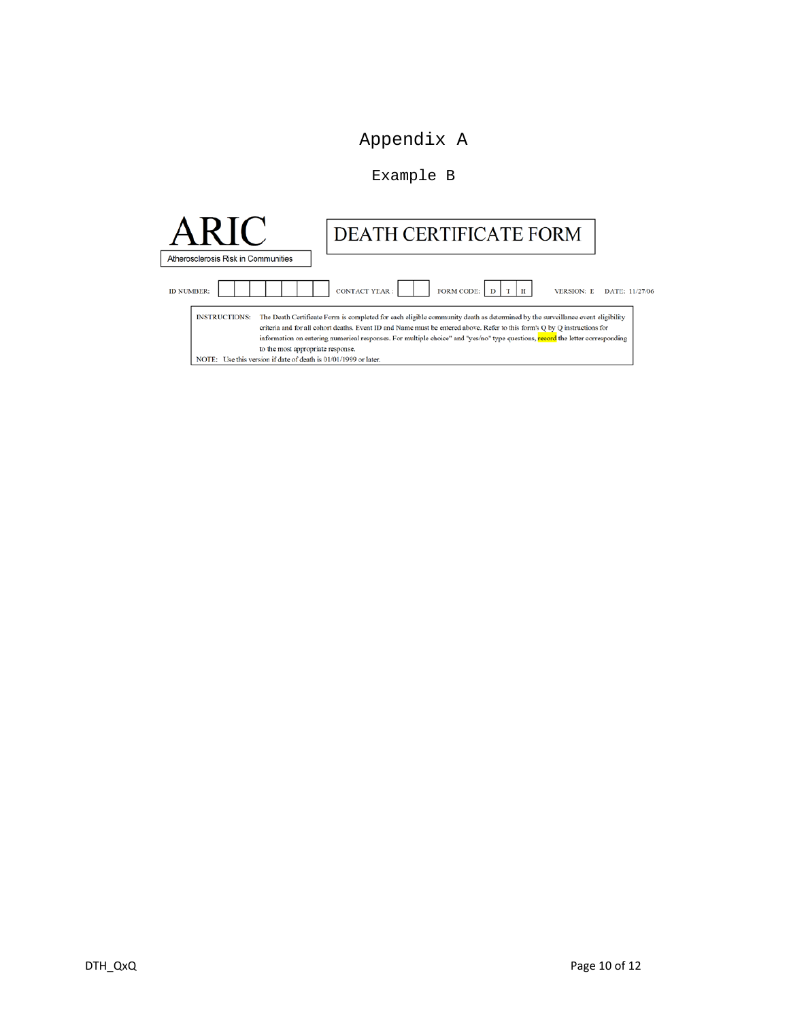## Appendix A

#### Example B

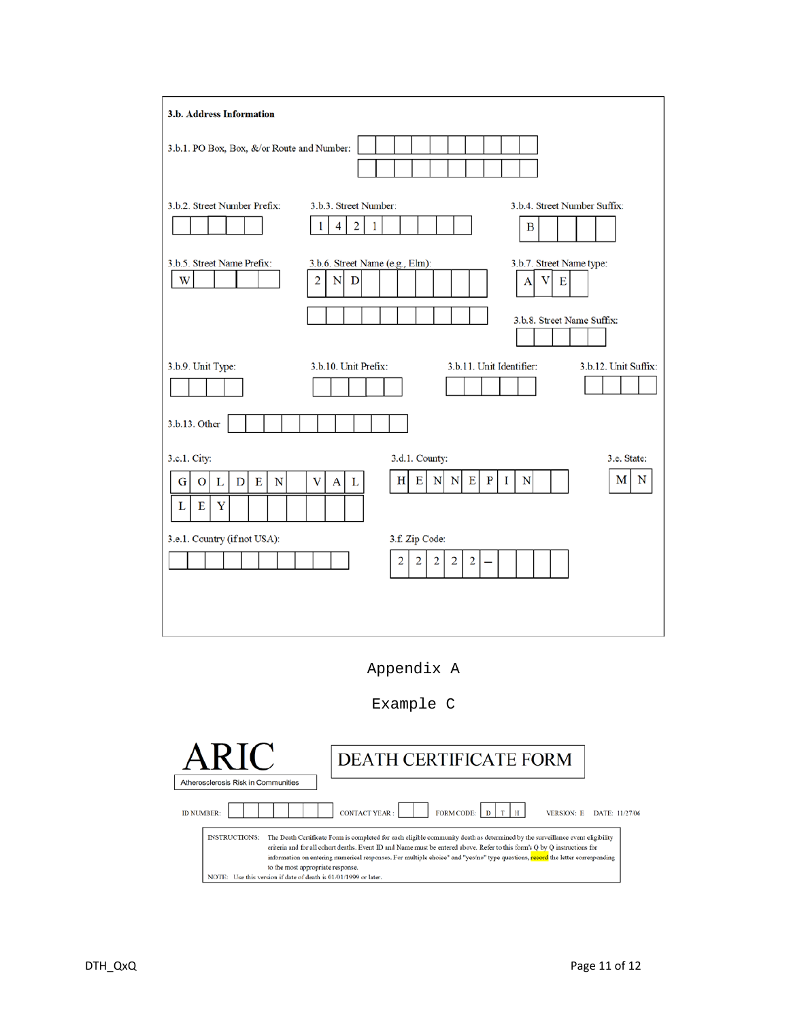| 3.b. Address Information                            |                                                                                |                                         |
|-----------------------------------------------------|--------------------------------------------------------------------------------|-----------------------------------------|
| 3.b.1. PO Box, Box, &/or Route and Number:          |                                                                                |                                         |
| 3.b.2. Street Number Prefix:                        | 3.b.3. Street Number:<br>$\overline{2}$<br>$\overline{4}$<br>$\mathbf{1}$<br>1 | 3.b.4. Street Number Suffix:<br>В       |
| 3.b.5. Street Name Prefix:<br>W                     | 3.b.6. Street Name (e.g., Elm):<br>$\overline{2}$<br>N<br>D                    | 3.b.7. Street Name type:<br>v<br>Е<br>А |
|                                                     |                                                                                | 3.b.8. Street Name Suffix:              |
| 3.b.9. Unit Type:                                   | 3.b.10. Unit Prefix:<br>3.b.11. Unit Identifier:                               | 3.b.12. Unit Suffix:                    |
| 3.b.13. Other                                       |                                                                                |                                         |
| 3.c.1. City:                                        | 3.d.1. County:                                                                 | 3.e. State:                             |
| E<br>N<br>L<br>$\mathbf D$<br>G<br>O<br>E<br>Y<br>L | $\mathbf E$<br>Е<br>$\mathbf{P}$<br>H<br>N<br>$\mathbf N$<br>V<br>A<br>L       | N<br>М<br>N<br>Т                        |
| 3.e.1. Country (if not USA):                        | 3.f. Zip Code:                                                                 |                                         |
|                                                     | 2<br>2<br>2<br>2<br>$\overline{c}$                                             |                                         |
|                                                     |                                                                                |                                         |
|                                                     |                                                                                |                                         |



Example C

|                                                                                                                                                                                                                                                                                                                                                                                                                | <b>DEATH CERTIFICATE FORM</b>                                                                                                  |  |  |  |  |  |
|----------------------------------------------------------------------------------------------------------------------------------------------------------------------------------------------------------------------------------------------------------------------------------------------------------------------------------------------------------------------------------------------------------------|--------------------------------------------------------------------------------------------------------------------------------|--|--|--|--|--|
| Atherosclerosis Risk in Communities                                                                                                                                                                                                                                                                                                                                                                            |                                                                                                                                |  |  |  |  |  |
| FORM CODE: $\vert D \vert T \vert H$<br><b>CONTACT YEAR:</b><br><b>ID NUMBER:</b><br><b>VERSION: E</b><br>DATE: 11/27/06<br>The Death Certificate Form is completed for each eligible community death as determined by the surveillance event eligibility<br><b>INSTRUCTIONS:</b><br>criteria and for all cohort deaths. Event ID and Name must be entered above. Refer to this form's O by O instructions for |                                                                                                                                |  |  |  |  |  |
|                                                                                                                                                                                                                                                                                                                                                                                                                | information on entering numerical responses. For multiple choice" and "yes/no" type questions, record the letter corresponding |  |  |  |  |  |
| to the most appropriate response.<br>NOTE: Use this version if date of death is 01/01/1999 or later.                                                                                                                                                                                                                                                                                                           |                                                                                                                                |  |  |  |  |  |